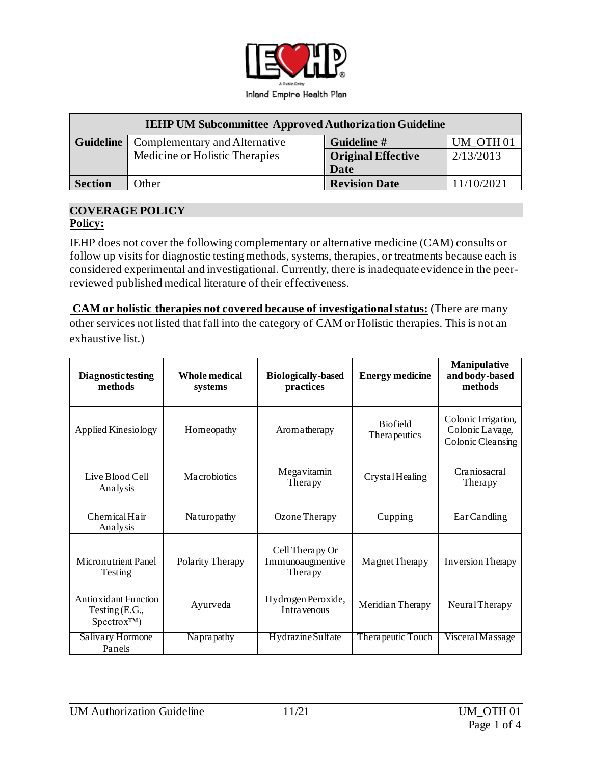

| <b>IEHP UM Subcommittee Approved Authorization Guideline</b> |                                |                           |                      |  |  |
|--------------------------------------------------------------|--------------------------------|---------------------------|----------------------|--|--|
| <b>Guideline</b>                                             | Complementary and Alternative  | Guideline #               | UM OTH <sub>01</sub> |  |  |
|                                                              | Medicine or Holistic Therapies | <b>Original Effective</b> | 2/13/2013            |  |  |
|                                                              |                                | Date                      |                      |  |  |
| <b>Section</b>                                               | Other                          | <b>Revision Date</b>      | 11/10/2021           |  |  |

#### **COVERAGE POLICY Policy:**

IEHP does not cover the following complementary or alternative medicine (CAM) consults or follow up visits for diagnostic testing methods, systems, therapies, or treatments because each is considered experimental and investigational. Currently, there is inadequate evidence in the peerreviewed published medical literature of their effectiveness.

**CAM or holistic therapies not covered because of investigational status:** (There are many other services not listed that fall into the category of CAM or Holistic therapies. This is not an exhaustive list.)

| Diagnostic testing<br>methods                                             | Whole medical<br>systems | <b>Biologically-based</b><br>practices         | <b>Energy medicine</b>          | Manipulative<br>and body-based<br>methods                   |
|---------------------------------------------------------------------------|--------------------------|------------------------------------------------|---------------------------------|-------------------------------------------------------------|
| Applied Kinesiology                                                       | Homeopathy               | Aromatherapy                                   | <b>Biofield</b><br>Therapeutics | Colonic Irrigation,<br>Colonic Lavage,<br>Colonic Cleansing |
| Live Blood Cell<br>Analysis                                               | Macrobiotics             | Megavitamin<br>Therapy                         | CrystalHealing                  | Craniosacral<br>Therapy                                     |
| Chemical Hair<br>Analysis                                                 | Naturopathy              | Ozone Therapy                                  | Cupping                         | EarCandling                                                 |
| <b>Micronutrient Panel</b><br>Testing                                     | Polarity Therapy         | Cell Therapy Or<br>Immunoaugmentive<br>Therapy | Magnet Therapy                  | <b>Inversion Therapy</b>                                    |
| <b>Antioxidant Function</b><br>Testing $(E.G.,$<br>Spectrox <sup>TM</sup> | Ayurveda                 | Hydrogen Peroxide,<br>Intra venous             | Meridian Therapy                | Neural Therapy                                              |
| Salivary Hormone<br>Panels                                                | Naprapathy               | Hydrazine Sulfate                              | Thera peutic Touch              | Visceral Massage                                            |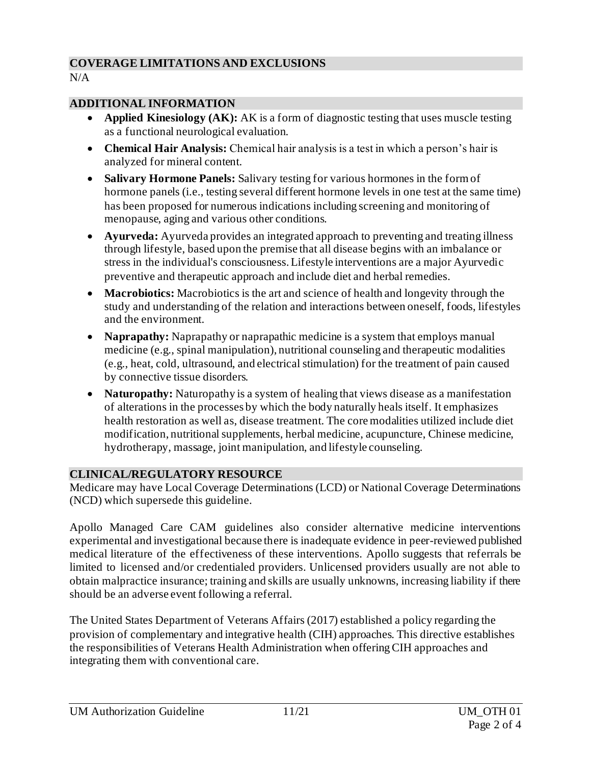### **COVERAGE LIMITATIONS AND EXCLUSIONS**

 $N/A$ 

#### **ADDITIONAL INFORMATION**

- **Applied Kinesiology (AK):** AK is a form of diagnostic testing that uses muscle testing as a functional neurological evaluation.
- **Chemical Hair Analysis:** Chemical hair analysis is a test in which a person's hair is analyzed for mineral content.
- **Salivary Hormone Panels:** Salivary testing for various hormones in the form of hormone panels (i.e., testing several different hormone levels in one test at the same time) has been proposed for numerous indications including screening and monitoring of menopause, aging and various other conditions.
- **Ayurveda:** Ayurveda provides an integrated approach to preventing and treating illness through lifestyle, based upon the premise that all disease begins with an imbalance or stress in the individual's consciousness. Lifestyle interventions are a major Ayurvedic preventive and therapeutic approach and include diet and herbal remedies.
- **Macrobiotics:** Macrobiotics is the art and science of health and longevity through the study and understanding of the relation and interactions between oneself, foods, lifestyles and the environment.
- **Naprapathy:** Naprapathy or naprapathic medicine is a system that employs manual medicine (e.g., spinal manipulation), nutritional counseling and therapeutic modalities (e.g., heat, cold, ultrasound, and electrical stimulation) for the treatment of pain caused by connective tissue disorders.
- **Naturopathy:** Naturopathy is a system of healing that views disease as a manifestation of alterations in the processes by which the body naturally heals itself. It emphasizes health restoration as well as, disease treatment. The core modalities utilized include diet modification, nutritional supplements, herbal medicine, acupuncture, Chinese medicine, hydrotherapy, massage, joint manipulation, and lifestyle counseling.

# **CLINICAL/REGULATORY RESOURCE**

Medicare may have Local Coverage Determinations (LCD) or National Coverage Determinations (NCD) which supersede this guideline.

Apollo Managed Care CAM guidelines also consider alternative medicine interventions experimental and investigational because there is inadequate evidence in peer-reviewed published medical literature of the effectiveness of these interventions. Apollo suggests that referrals be limited to licensed and/or credentialed providers. Unlicensed providers usually are not able to obtain malpractice insurance; training and skills are usually unknowns, increasing liability if there should be an adverse event following a referral.

The United States Department of Veterans Affairs (2017) established a policy regarding the provision of complementary and integrative health (CIH) approaches. This directive establishes the responsibilities of Veterans Health Administration when offering CIH approaches and integrating them with conventional care.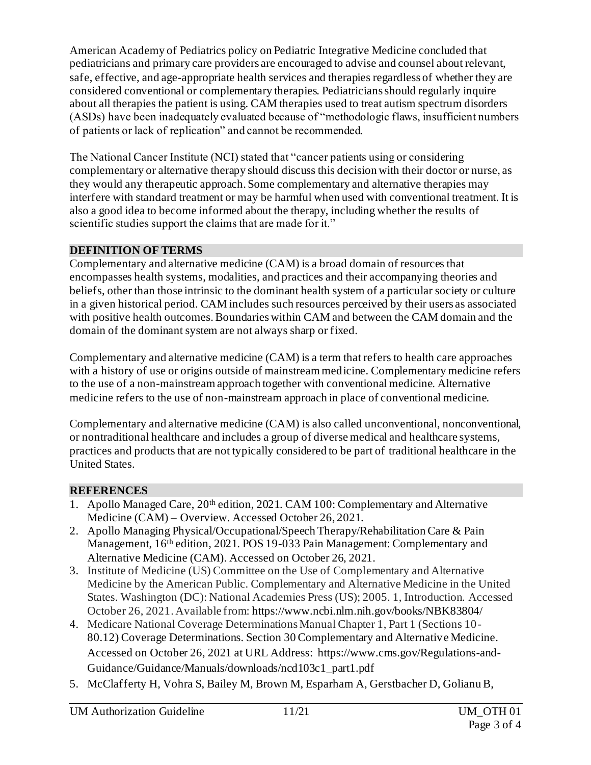American Academy of Pediatrics policy on Pediatric Integrative Medicine concluded that pediatricians and primary care providers are encouraged to advise and counsel about relevant, safe, effective, and age-appropriate health services and therapies regardless of whether they are considered conventional or complementary therapies. Pediatricians should regularly inquire about all therapies the patient is using. CAM therapies used to treat autism spectrum disorders (ASDs) have been inadequately evaluated because of "methodologic flaws, insufficient numbers of patients or lack of replication" and cannot be recommended.

The National Cancer Institute (NCI) stated that "cancer patients using or considering complementary or alternative therapy should discuss this decision with their doctor or nurse, as they would any therapeutic approach. Some complementary and alternative therapies may interfere with standard treatment or may be harmful when used with conventional treatment. It is also a good idea to become informed about the therapy, including whether the results of scientific studies support the claims that are made for it."

# **DEFINITION OF TERMS**

Complementary and alternative medicine (CAM) is a broad domain of resources that encompasses health systems, modalities, and practices and their accompanying theories and beliefs, other than those intrinsic to the dominant health system of a particular society or culture in a given historical period. CAM includes such resources perceived by their users as associated with positive health outcomes. Boundaries within CAM and between the CAM domain and the domain of the dominant system are not always sharp or fixed.

Complementary and alternative medicine (CAM) is a term that refers to health care approaches with a history of use or origins outside of mainstream medicine. Complementary medicine refers to the use of a non-mainstream approach together with conventional medicine. Alternative medicine refers to the use of non-mainstream approach in place of conventional medicine.

Complementary and alternative medicine (CAM) is also called unconventional, nonconventional, or nontraditional healthcare and includes a group of diverse medical and healthcare systems, practices and products that are not typically considered to be part of traditional healthcare in the United States.

# **REFERENCES**

- 1. Apollo Managed Care, 20th edition, 2021. CAM 100: Complementary and Alternative Medicine (CAM) – Overview. Accessed October 26, 2021.
- 2. Apollo Managing Physical/Occupational/Speech Therapy/Rehabilitation Care & Pain Management, 16th edition, 2021. POS 19-033 Pain Management: Complementary and Alternative Medicine (CAM). Accessed on October 26, 2021.
- 3. Institute of Medicine (US) Committee on the Use of Complementary and Alternative Medicine by the American Public. Complementary and Alternative Medicine in the United States. Washington (DC): National Academies Press (US); 2005. 1, Introduction. Accessed October 26, 2021. Available from: <https://www.ncbi.nlm.nih.gov/books/NBK83804/>
- 4. Medicare National Coverage Determinations Manual Chapter 1, Part 1 (Sections 10- 80.12) Coverage Determinations. Section 30 Complementary and Alternative Medicine. Accessed on October 26, 2021 at URL Address: [https://www.cms.gov/Regulations-and-](https://www.cms.gov/Regulations-and-Guidance/Guidance/Manuals/downloads/ncd103c1_part1.pdf)[Guidance/Guidance/Manuals/downloads/ncd103c1\\_part1.pdf](https://www.cms.gov/Regulations-and-Guidance/Guidance/Manuals/downloads/ncd103c1_part1.pdf)
- 5. McClafferty H, Vohra S, Bailey M, Brown M, Esparham A, Gerstbacher D, Golianu B,